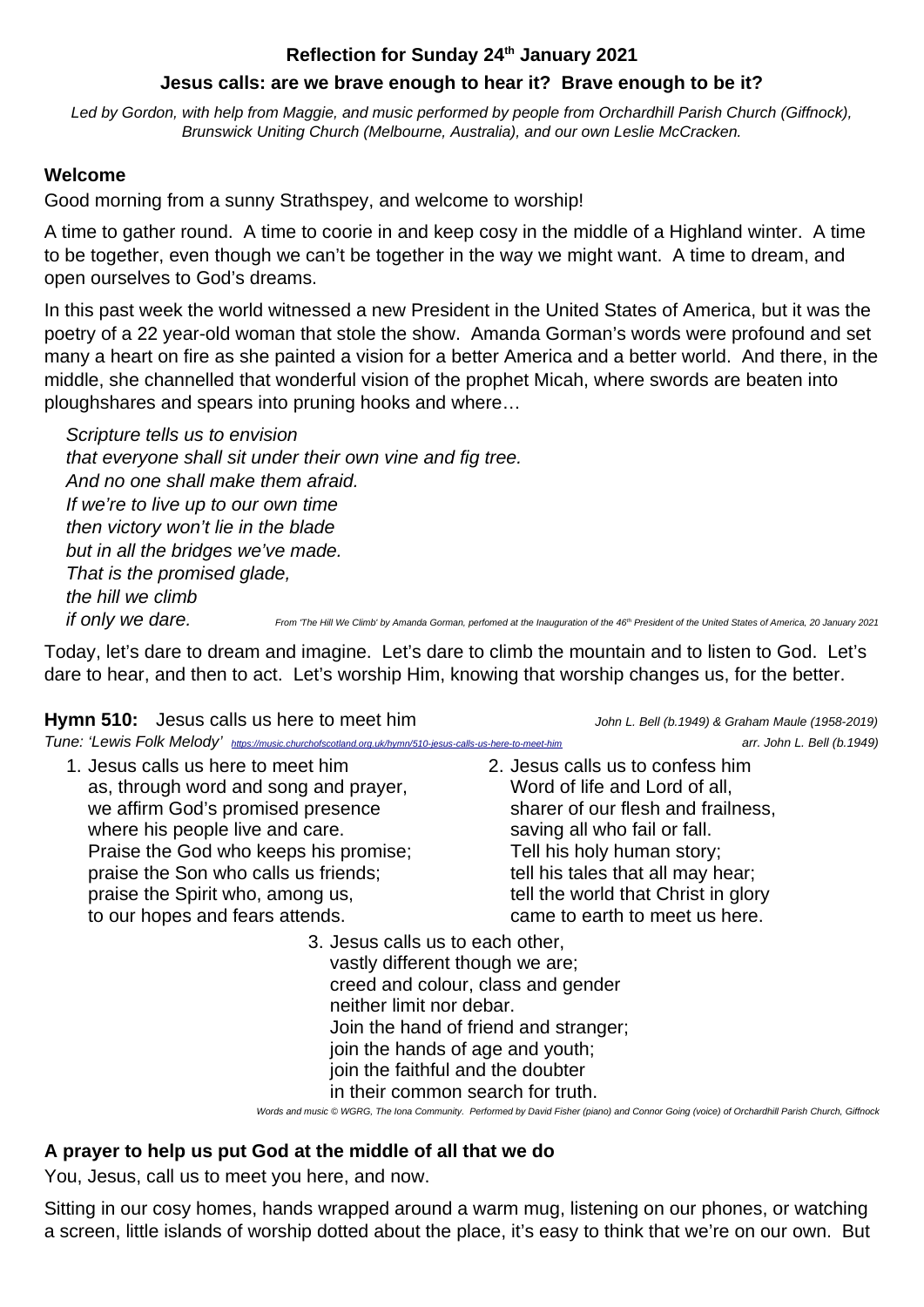#### **Reflection for Sunday 24th January 2021**

#### **Jesus calls: are we brave enough to hear it? Brave enough to be it?**

*Led by Gordon, with help from Maggie, and music performed by people from Orchardhill Parish Church (Giffnock), Brunswick Uniting Church (Melbourne, Australia), and our own Leslie McCracken.*

### **Welcome**

Good morning from a sunny Strathspey, and welcome to worship!

A time to gather round. A time to coorie in and keep cosy in the middle of a Highland winter. A time to be together, even though we can't be together in the way we might want. A time to dream, and open ourselves to God's dreams.

In this past week the world witnessed a new President in the United States of America, but it was the poetry of a 22 year-old woman that stole the show. Amanda Gorman's words were profound and set many a heart on fire as she painted a vision for a better America and a better world. And there, in the middle, she channelled that wonderful vision of the prophet Micah, where swords are beaten into ploughshares and spears into pruning hooks and where…

*Scripture tells us to envision that everyone shall sit under their own vine and fig tree. And no one shall make them afraid. If we're to live up to our own time then victory won't lie in the blade but in all the bridges we've made. That is the promised glade, the hill we climb if only we dare.* From 'The Hill We Climb' by Amanda Gorman, perfomed at the Inauguration of the 46<sup>th</sup> President of the United States of America, 20 January 2021

Today, let's dare to dream and imagine. Let's dare to climb the mountain and to listen to God. Let's dare to hear, and then to act. Let's worship Him, knowing that worship changes us, for the better.

Hymn 510: Jesus calls us here to meet him<br>
John L. Bell (b.1949) & Graham Maule (1958-2019)

|  | Tune: 'Lewis Folk Melody' https://music.churchofscotland.org.uk/hymn/510-jesus-calls-us-here-to-meet-h. |
|--|---------------------------------------------------------------------------------------------------------|
|--|---------------------------------------------------------------------------------------------------------|

1. Jesus calls us here to meet him as, through word and song and prayer, we affirm God's promised presence where his people live and care. Praise the God who keeps his promise; praise the Son who calls us friends; praise the Spirit who, among us, to our hopes and fears attends.

*Tune: 'Lewis Folk Melody' <https://music.churchofscotland.org.uk/hymn/510-jesus-calls-us-here-to-meet-him> arr. John L. Bell (b.1949)*

2. Jesus calls us to confess him Word of life and Lord of all, sharer of our flesh and frailness, saving all who fail or fall. Tell his holy human story; tell his tales that all may hear; tell the world that Christ in glory came to earth to meet us here.

3. Jesus calls us to each other,

vastly different though we are; creed and colour, class and gender neither limit nor debar. Join the hand of friend and stranger; join the hands of age and youth; join the faithful and the doubter in their common search for truth.

*Words and music © WGRG, The Iona Community. Performed by David Fisher (piano) and Connor Going (voice) of Orchardhill Parish Church, Giffnock*

# **A prayer to help us put God at the middle of all that we do**

You, Jesus, call us to meet you here, and now.

Sitting in our cosy homes, hands wrapped around a warm mug, listening on our phones, or watching a screen, little islands of worship dotted about the place, it's easy to think that we're on our own. But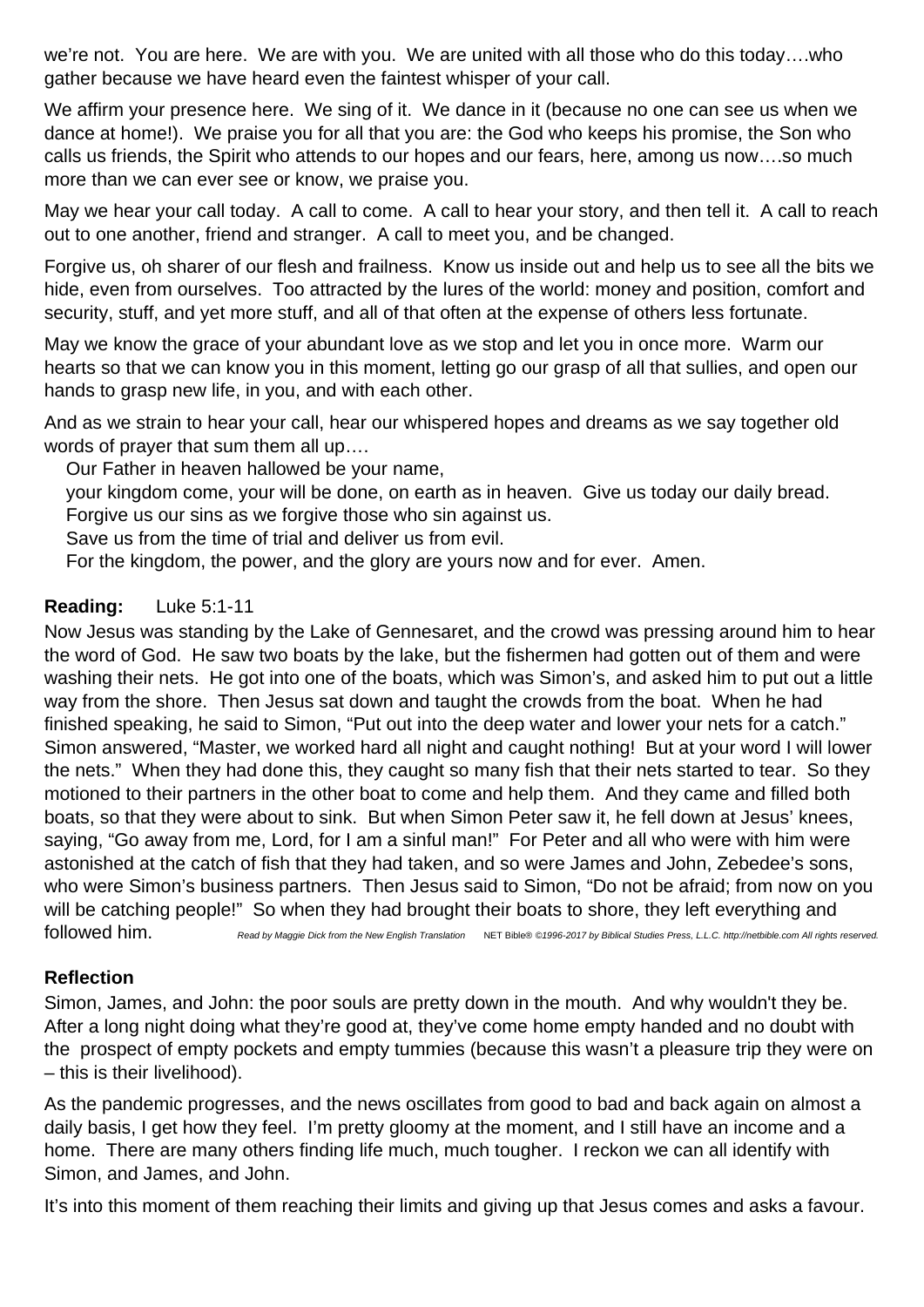we're not. You are here. We are with you. We are united with all those who do this today….who gather because we have heard even the faintest whisper of your call.

We affirm your presence here. We sing of it. We dance in it (because no one can see us when we dance at home!). We praise you for all that you are: the God who keeps his promise, the Son who calls us friends, the Spirit who attends to our hopes and our fears, here, among us now….so much more than we can ever see or know, we praise you.

May we hear your call today. A call to come. A call to hear your story, and then tell it. A call to reach out to one another, friend and stranger. A call to meet you, and be changed.

Forgive us, oh sharer of our flesh and frailness. Know us inside out and help us to see all the bits we hide, even from ourselves. Too attracted by the lures of the world: money and position, comfort and security, stuff, and yet more stuff, and all of that often at the expense of others less fortunate.

May we know the grace of your abundant love as we stop and let you in once more. Warm our hearts so that we can know you in this moment, letting go our grasp of all that sullies, and open our hands to grasp new life, in you, and with each other.

And as we strain to hear your call, hear our whispered hopes and dreams as we say together old words of prayer that sum them all up….

Our Father in heaven hallowed be your name,

your kingdom come, your will be done, on earth as in heaven. Give us today our daily bread.

Forgive us our sins as we forgive those who sin against us.

Save us from the time of trial and deliver us from evil.

For the kingdom, the power, and the glory are yours now and for ever. Amen.

#### **Reading:** Luke 5:1-11

Now Jesus was standing by the Lake of Gennesaret, and the crowd was pressing around him to hear the word of God. He saw two boats by the lake, but the fishermen had gotten out of them and were washing their nets. He got into one of the boats, which was Simon's, and asked him to put out a little way from the shore. Then Jesus sat down and taught the crowds from the boat. When he had finished speaking, he said to Simon, "Put out into the deep water and lower your nets for a catch." Simon answered, "Master, we worked hard all night and caught nothing! But at your word I will lower the nets." When they had done this, they caught so many fish that their nets started to tear. So they motioned to their partners in the other boat to come and help them. And they came and filled both boats, so that they were about to sink. But when Simon Peter saw it, he fell down at Jesus' knees, saying, "Go away from me, Lord, for I am a sinful man!" For Peter and all who were with him were astonished at the catch of fish that they had taken, and so were James and John, Zebedee's sons, who were Simon's business partners. Then Jesus said to Simon, "Do not be afraid; from now on you will be catching people!" So when they had brought their boats to shore, they left everything and

followed him. *Read by Maggie Dick from the New English Translation* NET Bible® *©1996-2017 by Biblical Studies Press, L.L.C. http://netbible.com All rights reserved.*

### **Reflection**

Simon, James, and John: the poor souls are pretty down in the mouth. And why wouldn't they be. After a long night doing what they're good at, they've come home empty handed and no doubt with the prospect of empty pockets and empty tummies (because this wasn't a pleasure trip they were on – this is their livelihood).

As the pandemic progresses, and the news oscillates from good to bad and back again on almost a daily basis, I get how they feel. I'm pretty gloomy at the moment, and I still have an income and a home. There are many others finding life much, much tougher. I reckon we can all identify with Simon, and James, and John.

It's into this moment of them reaching their limits and giving up that Jesus comes and asks a favour.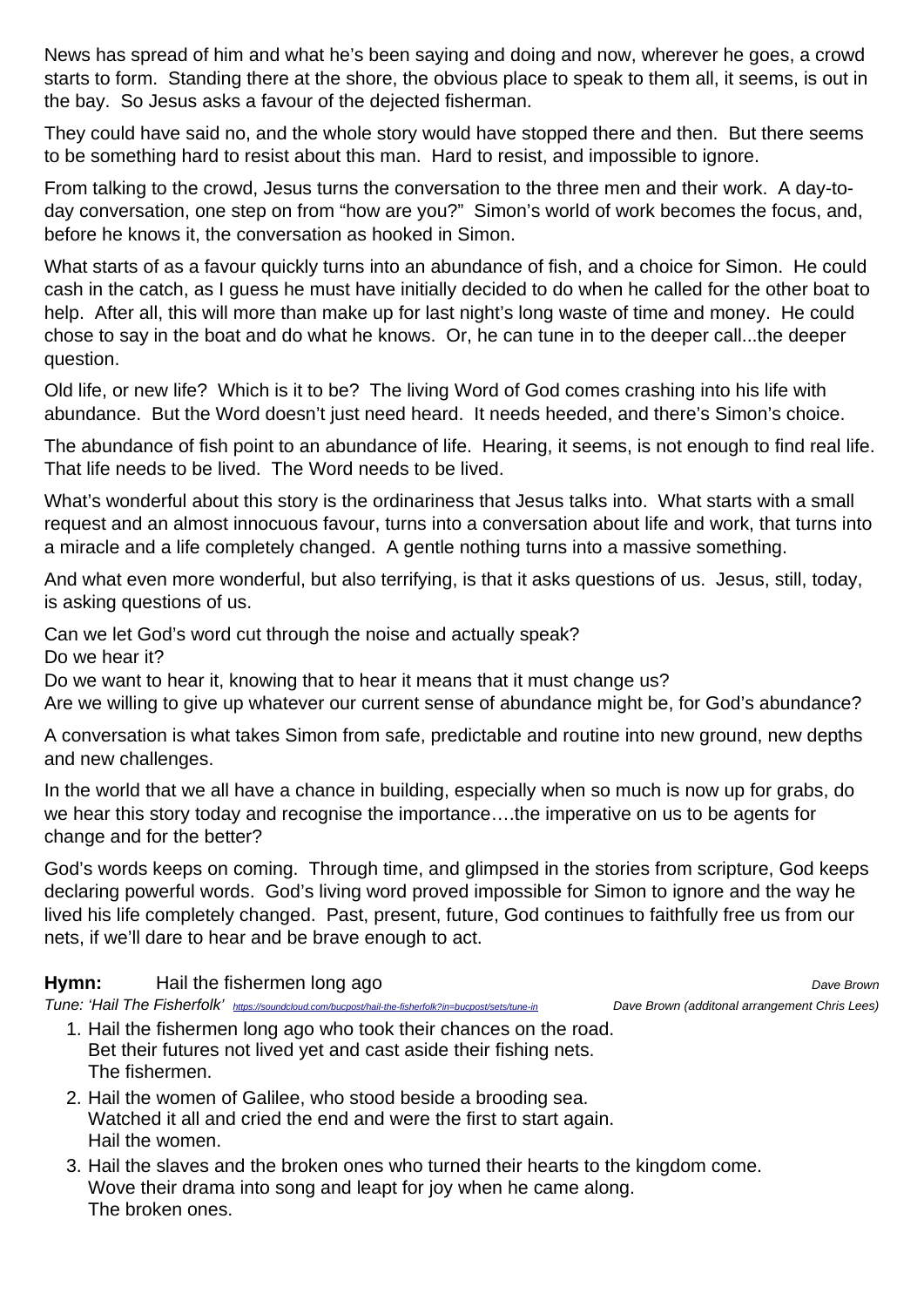News has spread of him and what he's been saying and doing and now, wherever he goes, a crowd starts to form. Standing there at the shore, the obvious place to speak to them all, it seems, is out in the bay. So Jesus asks a favour of the dejected fisherman.

They could have said no, and the whole story would have stopped there and then. But there seems to be something hard to resist about this man. Hard to resist, and impossible to ignore.

From talking to the crowd, Jesus turns the conversation to the three men and their work. A day-today conversation, one step on from "how are you?" Simon's world of work becomes the focus, and, before he knows it, the conversation as hooked in Simon.

What starts of as a favour quickly turns into an abundance of fish, and a choice for Simon. He could cash in the catch, as I guess he must have initially decided to do when he called for the other boat to help. After all, this will more than make up for last night's long waste of time and money. He could chose to say in the boat and do what he knows. Or, he can tune in to the deeper call...the deeper question.

Old life, or new life? Which is it to be? The living Word of God comes crashing into his life with abundance. But the Word doesn't just need heard. It needs heeded, and there's Simon's choice.

The abundance of fish point to an abundance of life. Hearing, it seems, is not enough to find real life. That life needs to be lived. The Word needs to be lived.

What's wonderful about this story is the ordinariness that Jesus talks into. What starts with a small request and an almost innocuous favour, turns into a conversation about life and work, that turns into a miracle and a life completely changed. A gentle nothing turns into a massive something.

And what even more wonderful, but also terrifying, is that it asks questions of us. Jesus, still, today, is asking questions of us.

Can we let God's word cut through the noise and actually speak?

Do we hear it?

Do we want to hear it, knowing that to hear it means that it must change us?

Are we willing to give up whatever our current sense of abundance might be, for God's abundance?

A conversation is what takes Simon from safe, predictable and routine into new ground, new depths and new challenges.

In the world that we all have a chance in building, especially when so much is now up for grabs, do we hear this story today and recognise the importance….the imperative on us to be agents for change and for the better?

God's words keeps on coming. Through time, and glimpsed in the stories from scripture, God keeps declaring powerful words. God's living word proved impossible for Simon to ignore and the way he lived his life completely changed. Past, present, future, God continues to faithfully free us from our nets, if we'll dare to hear and be brave enough to act.

#### **Hymn:** Hail the fishermen long ago *Dave Brown Dave Brown*

*Tune: 'Hail The Fisherfolk' <https://soundcloud.com/bucpost/hail-the-fisherfolk?in=bucpost/sets/tune-in> Dave Brown (additonal arrangement Chris Lees)*

- 1. Hail the fishermen long ago who took their chances on the road. Bet their futures not lived yet and cast aside their fishing nets. The fishermen.
- 2. Hail the women of Galilee, who stood beside a brooding sea. Watched it all and cried the end and were the first to start again. Hail the women.
- 3. Hail the slaves and the broken ones who turned their hearts to the kingdom come. Wove their drama into song and leapt for joy when he came along. The broken ones.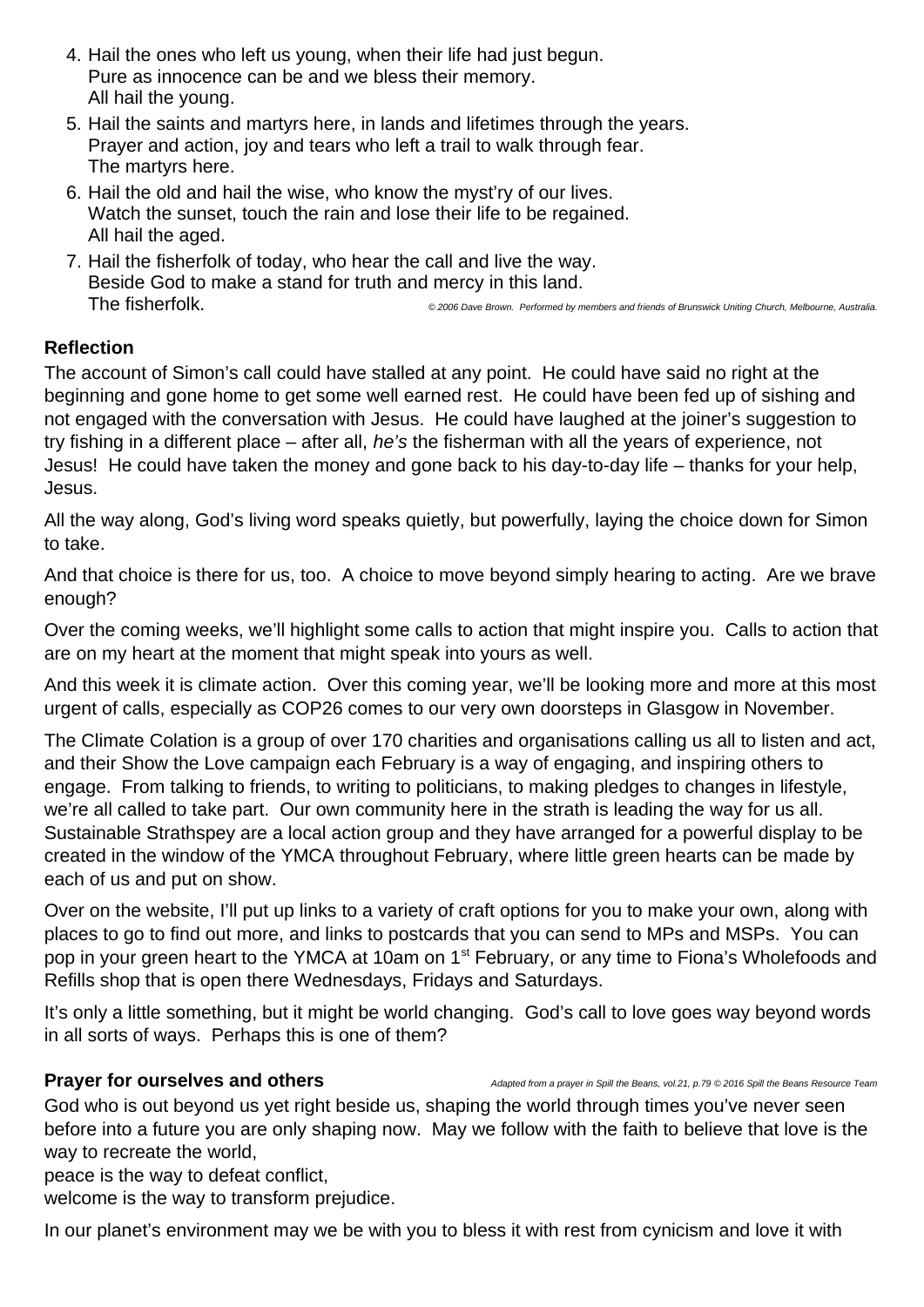- 4. Hail the ones who left us young, when their life had just begun. Pure as innocence can be and we bless their memory. All hail the young.
- 5. Hail the saints and martyrs here, in lands and lifetimes through the years. Prayer and action, joy and tears who left a trail to walk through fear. The martyrs here.
- 6. Hail the old and hail the wise, who know the myst'ry of our lives. Watch the sunset, touch the rain and lose their life to be regained. All hail the aged.
- 7. Hail the fisherfolk of today, who hear the call and live the way. Beside God to make a stand for truth and mercy in this land. The fisherfolk. *© 2006 Dave Brown. Performed by members and friends of Brunswick Uniting Church, Melbourne, Australia.*

# **Reflection**

The account of Simon's call could have stalled at any point. He could have said no right at the beginning and gone home to get some well earned rest. He could have been fed up of sishing and not engaged with the conversation with Jesus. He could have laughed at the joiner's suggestion to try fishing in a different place – after all, *he's* the fisherman with all the years of experience, not Jesus! He could have taken the money and gone back to his day-to-day life – thanks for your help, Jesus.

All the way along, God's living word speaks quietly, but powerfully, laying the choice down for Simon to take.

And that choice is there for us, too. A choice to move beyond simply hearing to acting. Are we brave enough?

Over the coming weeks, we'll highlight some calls to action that might inspire you. Calls to action that are on my heart at the moment that might speak into yours as well.

And this week it is climate action. Over this coming year, we'll be looking more and more at this most urgent of calls, especially as COP26 comes to our very own doorsteps in Glasgow in November.

The Climate Colation is a group of over 170 charities and organisations calling us all to listen and act, and their Show the Love campaign each February is a way of engaging, and inspiring others to engage. From talking to friends, to writing to politicians, to making pledges to changes in lifestyle, we're all called to take part. Our own community here in the strath is leading the way for us all. Sustainable Strathspey are a local action group and they have arranged for a powerful display to be created in the window of the YMCA throughout February, where little green hearts can be made by each of us and put on show.

Over on the website, I'll put up links to a variety of craft options for you to make your own, along with places to go to find out more, and links to postcards that you can send to MPs and MSPs. You can pop in your green heart to the YMCA at 10am on 1<sup>st</sup> February, or any time to Fiona's Wholefoods and Refills shop that is open there Wednesdays, Fridays and Saturdays.

It's only a little something, but it might be world changing. God's call to love goes way beyond words in all sorts of ways. Perhaps this is one of them?

**Prayer for ourselves and others** *Adapted from a prayer in Spill the Beans, vol.21, p.79 © 2016 Spill the Beans Resource Team* 

God who is out beyond us yet right beside us, shaping the world through times you've never seen before into a future you are only shaping now. May we follow with the faith to believe that love is the way to recreate the world,

peace is the way to defeat conflict,

welcome is the way to transform prejudice.

In our planet's environment may we be with you to bless it with rest from cynicism and love it with